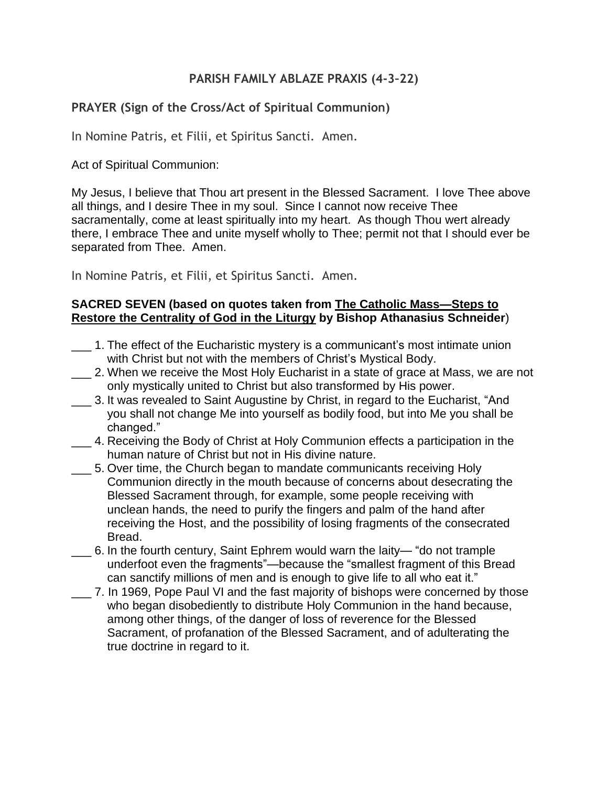#### **PARISH FAMILY ABLAZE PRAXIS (4-3–22)**

#### **PRAYER (Sign of the Cross/Act of Spiritual Communion)**

In Nomine Patris, et Filii, et Spiritus Sancti. Amen.

Act of Spiritual Communion:

My Jesus, I believe that Thou art present in the Blessed Sacrament. I love Thee above all things, and I desire Thee in my soul. Since I cannot now receive Thee sacramentally, come at least spiritually into my heart. As though Thou wert already there, I embrace Thee and unite myself wholly to Thee; permit not that I should ever be separated from Thee. Amen.

In Nomine Patris, et Filii, et Spiritus Sancti. Amen.

#### **SACRED SEVEN (based on quotes taken from The Catholic Mass—Steps to Restore the Centrality of God in the Liturgy by Bishop Athanasius Schneider**)

- \_\_\_ 1. The effect of the Eucharistic mystery is a communicant's most intimate union with Christ but not with the members of Christ's Mystical Body.
- 2. When we receive the Most Holy Eucharist in a state of grace at Mass, we are not only mystically united to Christ but also transformed by His power.
- \_\_\_ 3. It was revealed to Saint Augustine by Christ, in regard to the Eucharist, "And you shall not change Me into yourself as bodily food, but into Me you shall be changed."
- \_\_\_ 4. Receiving the Body of Christ at Holy Communion effects a participation in the human nature of Christ but not in His divine nature.
- \_\_\_ 5. Over time, the Church began to mandate communicants receiving Holy Communion directly in the mouth because of concerns about desecrating the Blessed Sacrament through, for example, some people receiving with unclean hands, the need to purify the fingers and palm of the hand after receiving the Host, and the possibility of losing fragments of the consecrated Bread.
- \_\_\_ 6. In the fourth century, Saint Ephrem would warn the laity— "do not trample underfoot even the fragments"—because the "smallest fragment of this Bread can sanctify millions of men and is enough to give life to all who eat it."
- \_\_\_ 7. In 1969, Pope Paul VI and the fast majority of bishops were concerned by those who began disobediently to distribute Holy Communion in the hand because, among other things, of the danger of loss of reverence for the Blessed Sacrament, of profanation of the Blessed Sacrament, and of adulterating the true doctrine in regard to it.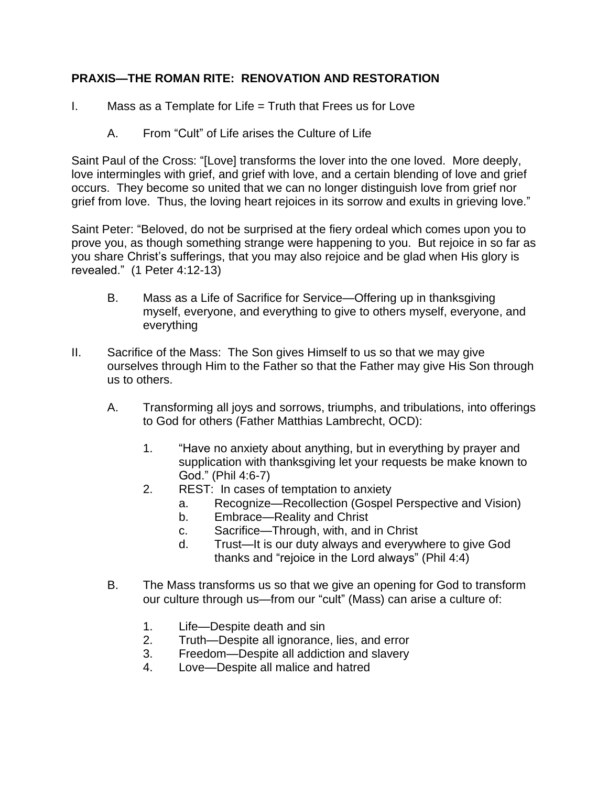# **PRAXIS—THE ROMAN RITE: RENOVATION AND RESTORATION**

- I. Mass as a Template for Life  $=$  Truth that Frees us for Love
	- A. From "Cult" of Life arises the Culture of Life

Saint Paul of the Cross: "[Love] transforms the lover into the one loved. More deeply, love intermingles with grief, and grief with love, and a certain blending of love and grief occurs. They become so united that we can no longer distinguish love from grief nor grief from love. Thus, the loving heart rejoices in its sorrow and exults in grieving love."

Saint Peter: "Beloved, do not be surprised at the fiery ordeal which comes upon you to prove you, as though something strange were happening to you. But rejoice in so far as you share Christ's sufferings, that you may also rejoice and be glad when His glory is revealed." (1 Peter 4:12-13)

- B. Mass as a Life of Sacrifice for Service—Offering up in thanksgiving myself, everyone, and everything to give to others myself, everyone, and everything
- II. Sacrifice of the Mass: The Son gives Himself to us so that we may give ourselves through Him to the Father so that the Father may give His Son through us to others.
	- A. Transforming all joys and sorrows, triumphs, and tribulations, into offerings to God for others (Father Matthias Lambrecht, OCD):
		- 1. "Have no anxiety about anything, but in everything by prayer and supplication with thanksgiving let your requests be make known to God." (Phil 4:6-7)
		- 2. REST: In cases of temptation to anxiety
			- a. Recognize—Recollection (Gospel Perspective and Vision)
			- b. Embrace—Reality and Christ
			- c. Sacrifice—Through, with, and in Christ
			- d. Trust—It is our duty always and everywhere to give God thanks and "rejoice in the Lord always" (Phil 4:4)
	- B. The Mass transforms us so that we give an opening for God to transform our culture through us—from our "cult" (Mass) can arise a culture of:
		- 1. Life—Despite death and sin
		- 2. Truth—Despite all ignorance, lies, and error
		- 3. Freedom—Despite all addiction and slavery
		- 4. Love—Despite all malice and hatred